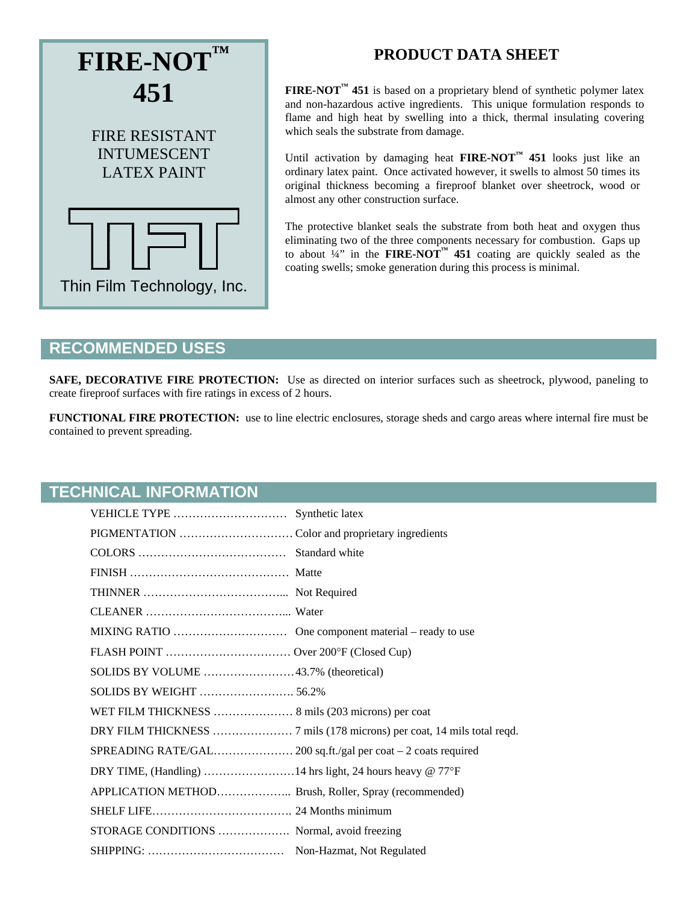

# **PRODUCT DATA SHEET**

**FIRE-NOT<sup>™</sup> 451** is based on a proprietary blend of synthetic polymer latex and non-hazardous active ingredients. This unique formulation responds to flame and high heat by swelling into a thick, thermal insulating covering which seals the substrate from damage.

Until activation by damaging heat **FIRE-NOT**<sup> $M$ </sup> 451 looks just like an ordinary latex paint. Once activated however, it swells to almost 50 times its original thickness becoming a fireproof blanket over sheetrock, wood or almost any other construction surface.

The protective blanket seals the substrate from both heat and oxygen thus eliminating two of the three components necessary for combustion. Gaps up to about  $\frac{1}{4}$  in the **FIRE-NOT<sup>™</sup> 451** coating are quickly sealed as the coating swells; smoke generation during this process is minimal.

### **RECOMMENDED USES**

**SAFE, DECORATIVE FIRE PROTECTION:** Use as directed on interior surfaces such as sheetrock, plywood, paneling to create fireproof surfaces with fire ratings in excess of 2 hours.

**FUNCTIONAL FIRE PROTECTION:** use to line electric enclosures, storage sheds and cargo areas where internal fire must be contained to prevent spreading.

#### **TECHNICAL INFORMATION**

| SOLIDS BY VOLUME 43.7% (theoretical)                     |  |
|----------------------------------------------------------|--|
|                                                          |  |
| WET FILM THICKNESS  8 mils (203 microns) per coat        |  |
|                                                          |  |
|                                                          |  |
| DRY TIME, (Handling) 14 hrs light, 24 hours heavy @ 77°F |  |
|                                                          |  |
|                                                          |  |
|                                                          |  |
|                                                          |  |